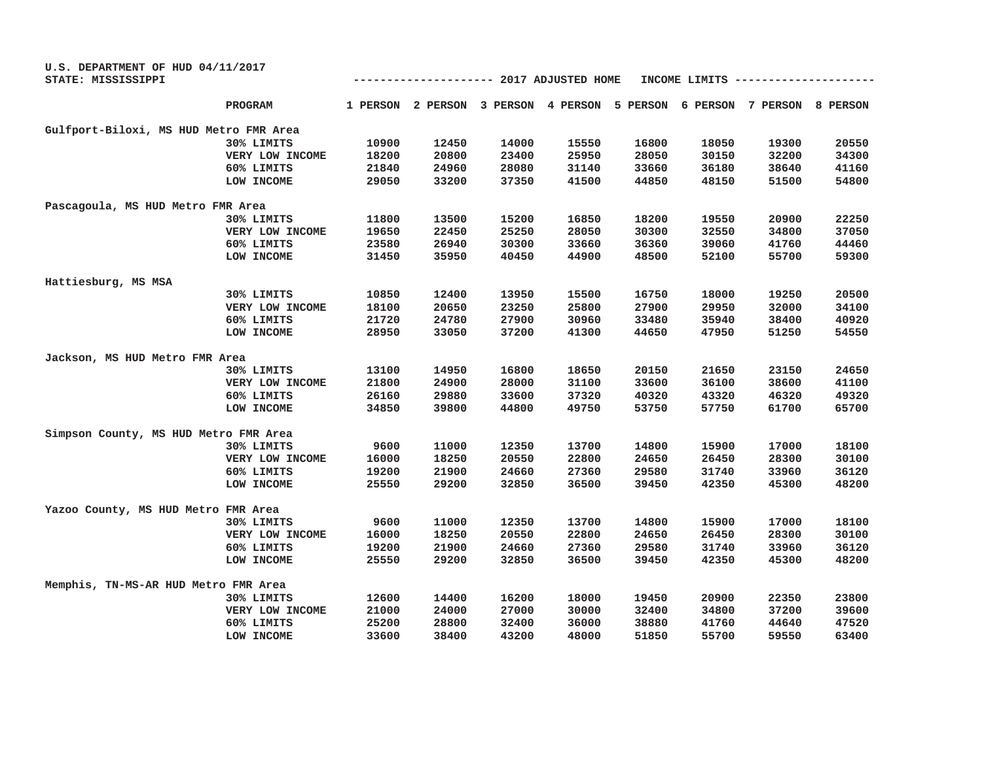| U.S. DEPARTMENT OF HUD 04/11/2017      |                 |                                                  |       |       |       |       |       |                                                                         |       |
|----------------------------------------|-----------------|--------------------------------------------------|-------|-------|-------|-------|-------|-------------------------------------------------------------------------|-------|
| STATE: MISSISSIPPI                     |                 | ------------ 2017 ADJUSTED HOME<br>INCOME LIMITS |       |       |       |       |       |                                                                         |       |
|                                        | PROGRAM         |                                                  |       |       |       |       |       | 1 PERSON 2 PERSON 3 PERSON 4 PERSON 5 PERSON 6 PERSON 7 PERSON 8 PERSON |       |
| Gulfport-Biloxi, MS HUD Metro FMR Area |                 |                                                  |       |       |       |       |       |                                                                         |       |
|                                        | 30% LIMITS      | 10900                                            | 12450 | 14000 | 15550 | 16800 | 18050 | 19300                                                                   | 20550 |
|                                        | VERY LOW INCOME | 18200                                            | 20800 | 23400 | 25950 | 28050 | 30150 | 32200                                                                   | 34300 |
|                                        | 60% LIMITS      | 21840                                            | 24960 | 28080 | 31140 | 33660 | 36180 | 38640                                                                   | 41160 |
|                                        | LOW INCOME      | 29050                                            | 33200 | 37350 | 41500 | 44850 | 48150 | 51500                                                                   | 54800 |
| Pascagoula, MS HUD Metro FMR Area      |                 |                                                  |       |       |       |       |       |                                                                         |       |
|                                        | 30% LIMITS      | 11800                                            | 13500 | 15200 | 16850 | 18200 | 19550 | 20900                                                                   | 22250 |
|                                        | VERY LOW INCOME | 19650                                            | 22450 | 25250 | 28050 | 30300 | 32550 | 34800                                                                   | 37050 |
|                                        | 60% LIMITS      | 23580                                            | 26940 | 30300 | 33660 | 36360 | 39060 | 41760                                                                   | 44460 |
|                                        | LOW INCOME      | 31450                                            | 35950 | 40450 | 44900 | 48500 | 52100 | 55700                                                                   | 59300 |
| Hattiesburg, MS MSA                    |                 |                                                  |       |       |       |       |       |                                                                         |       |
|                                        | 30% LIMITS      | 10850                                            | 12400 | 13950 | 15500 | 16750 | 18000 | 19250                                                                   | 20500 |
|                                        | VERY LOW INCOME | 18100                                            | 20650 | 23250 | 25800 | 27900 | 29950 | 32000                                                                   | 34100 |
|                                        | 60% LIMITS      | 21720                                            | 24780 | 27900 | 30960 | 33480 | 35940 | 38400                                                                   | 40920 |
|                                        | LOW INCOME      | 28950                                            | 33050 | 37200 | 41300 | 44650 | 47950 | 51250                                                                   | 54550 |
| Jackson, MS HUD Metro FMR Area         |                 |                                                  |       |       |       |       |       |                                                                         |       |
|                                        | 30% LIMITS      | 13100                                            | 14950 | 16800 | 18650 | 20150 | 21650 | 23150                                                                   | 24650 |
|                                        | VERY LOW INCOME | 21800                                            | 24900 | 28000 | 31100 | 33600 | 36100 | 38600                                                                   | 41100 |
|                                        | 60% LIMITS      | 26160                                            | 29880 | 33600 | 37320 | 40320 | 43320 | 46320                                                                   | 49320 |
|                                        | LOW INCOME      | 34850                                            | 39800 | 44800 | 49750 | 53750 | 57750 | 61700                                                                   | 65700 |
| Simpson County, MS HUD Metro FMR Area  |                 |                                                  |       |       |       |       |       |                                                                         |       |
|                                        | 30% LIMITS      | 9600                                             | 11000 | 12350 | 13700 | 14800 | 15900 | 17000                                                                   | 18100 |
|                                        | VERY LOW INCOME | 16000                                            | 18250 | 20550 | 22800 | 24650 | 26450 | 28300                                                                   | 30100 |
|                                        | 60% LIMITS      | 19200                                            | 21900 | 24660 | 27360 | 29580 | 31740 | 33960                                                                   | 36120 |
|                                        | LOW INCOME      | 25550                                            | 29200 | 32850 | 36500 | 39450 | 42350 | 45300                                                                   | 48200 |
| Yazoo County, MS HUD Metro FMR Area    |                 |                                                  |       |       |       |       |       |                                                                         |       |
|                                        | 30% LIMITS      | 9600                                             | 11000 | 12350 | 13700 | 14800 | 15900 | 17000                                                                   | 18100 |
|                                        | VERY LOW INCOME | 16000                                            | 18250 | 20550 | 22800 | 24650 | 26450 | 28300                                                                   | 30100 |
|                                        | 60% LIMITS      | 19200                                            | 21900 | 24660 | 27360 | 29580 | 31740 | 33960                                                                   | 36120 |
|                                        | LOW INCOME      | 25550                                            | 29200 | 32850 | 36500 | 39450 | 42350 | 45300                                                                   | 48200 |
| Memphis, TN-MS-AR HUD Metro FMR Area   |                 |                                                  |       |       |       |       |       |                                                                         |       |
|                                        | 30% LIMITS      | 12600                                            | 14400 | 16200 | 18000 | 19450 | 20900 | 22350                                                                   | 23800 |
|                                        | VERY LOW INCOME | 21000                                            | 24000 | 27000 | 30000 | 32400 | 34800 | 37200                                                                   | 39600 |
|                                        | 60% LIMITS      | 25200                                            | 28800 | 32400 | 36000 | 38880 | 41760 | 44640                                                                   | 47520 |
|                                        | LOW INCOME      | 33600                                            | 38400 | 43200 | 48000 | 51850 | 55700 | 59550                                                                   | 63400 |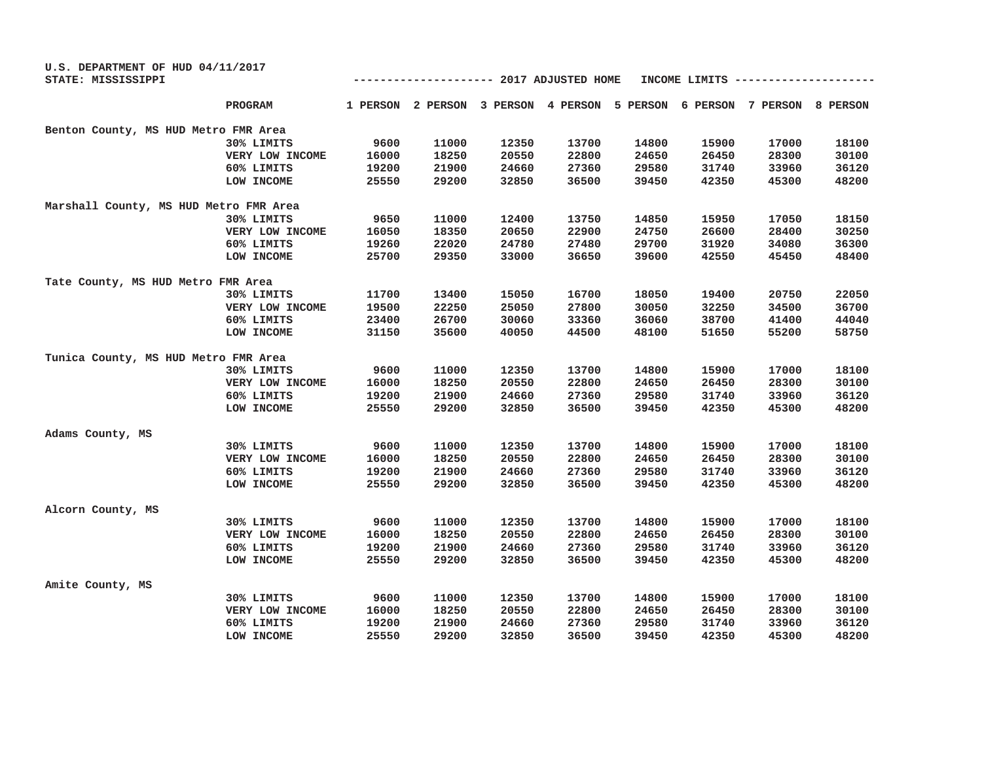| U.S. DEPARTMENT OF HUD 04/11/2017      |                 |       |       |       |                                 |       |               |                                                                         |       |
|----------------------------------------|-----------------|-------|-------|-------|---------------------------------|-------|---------------|-------------------------------------------------------------------------|-------|
| STATE: MISSISSIPPI                     |                 |       |       |       | ------------ 2017 ADJUSTED HOME |       | INCOME LIMITS |                                                                         |       |
|                                        | PROGRAM         |       |       |       |                                 |       |               | 1 PERSON 2 PERSON 3 PERSON 4 PERSON 5 PERSON 6 PERSON 7 PERSON 8 PERSON |       |
| Benton County, MS HUD Metro FMR Area   |                 |       |       |       |                                 |       |               |                                                                         |       |
|                                        | 30% LIMITS      | 9600  | 11000 | 12350 | 13700                           | 14800 | 15900         | 17000                                                                   | 18100 |
|                                        | VERY LOW INCOME | 16000 | 18250 | 20550 | 22800                           | 24650 | 26450         | 28300                                                                   | 30100 |
|                                        | 60% LIMITS      | 19200 | 21900 | 24660 | 27360                           | 29580 | 31740         | 33960                                                                   | 36120 |
|                                        | LOW INCOME      | 25550 | 29200 | 32850 | 36500                           | 39450 | 42350         | 45300                                                                   | 48200 |
| Marshall County, MS HUD Metro FMR Area |                 |       |       |       |                                 |       |               |                                                                         |       |
|                                        | 30% LIMITS      | 9650  | 11000 | 12400 | 13750                           | 14850 | 15950         | 17050                                                                   | 18150 |
|                                        | VERY LOW INCOME | 16050 | 18350 | 20650 | 22900                           | 24750 | 26600         | 28400                                                                   | 30250 |
|                                        | 60% LIMITS      | 19260 | 22020 | 24780 | 27480                           | 29700 | 31920         | 34080                                                                   | 36300 |
|                                        | LOW INCOME      | 25700 | 29350 | 33000 | 36650                           | 39600 | 42550         | 45450                                                                   | 48400 |
| Tate County, MS HUD Metro FMR Area     |                 |       |       |       |                                 |       |               |                                                                         |       |
|                                        | 30% LIMITS      | 11700 | 13400 | 15050 | 16700                           | 18050 | 19400         | 20750                                                                   | 22050 |
|                                        | VERY LOW INCOME | 19500 | 22250 | 25050 | 27800                           | 30050 | 32250         | 34500                                                                   | 36700 |
|                                        | 60% LIMITS      | 23400 | 26700 | 30060 | 33360                           | 36060 | 38700         | 41400                                                                   | 44040 |
|                                        | LOW INCOME      | 31150 | 35600 | 40050 | 44500                           | 48100 | 51650         | 55200                                                                   | 58750 |
| Tunica County, MS HUD Metro FMR Area   |                 |       |       |       |                                 |       |               |                                                                         |       |
|                                        | 30% LIMITS      | 9600  | 11000 | 12350 | 13700                           | 14800 | 15900         | 17000                                                                   | 18100 |
|                                        | VERY LOW INCOME | 16000 | 18250 | 20550 | 22800                           | 24650 | 26450         | 28300                                                                   | 30100 |
|                                        | 60% LIMITS      | 19200 | 21900 | 24660 | 27360                           | 29580 | 31740         | 33960                                                                   | 36120 |
|                                        | LOW INCOME      | 25550 | 29200 | 32850 | 36500                           | 39450 | 42350         | 45300                                                                   | 48200 |
| Adams County, MS                       |                 |       |       |       |                                 |       |               |                                                                         |       |
|                                        | 30% LIMITS      | 9600  | 11000 | 12350 | 13700                           | 14800 | 15900         | 17000                                                                   | 18100 |
|                                        | VERY LOW INCOME | 16000 | 18250 | 20550 | 22800                           | 24650 | 26450         | 28300                                                                   | 30100 |
|                                        | 60% LIMITS      | 19200 | 21900 | 24660 | 27360                           | 29580 | 31740         | 33960                                                                   | 36120 |
|                                        | LOW INCOME      | 25550 | 29200 | 32850 | 36500                           | 39450 | 42350         | 45300                                                                   | 48200 |
| Alcorn County, MS                      |                 |       |       |       |                                 |       |               |                                                                         |       |
|                                        | 30% LIMITS      | 9600  | 11000 | 12350 | 13700                           | 14800 | 15900         | 17000                                                                   | 18100 |
|                                        | VERY LOW INCOME | 16000 | 18250 | 20550 | 22800                           | 24650 | 26450         | 28300                                                                   | 30100 |
|                                        | 60% LIMITS      | 19200 | 21900 | 24660 | 27360                           | 29580 | 31740         | 33960                                                                   | 36120 |
|                                        | LOW INCOME      | 25550 | 29200 | 32850 | 36500                           | 39450 | 42350         | 45300                                                                   | 48200 |
| Amite County, MS                       |                 |       |       |       |                                 |       |               |                                                                         |       |
|                                        | 30% LIMITS      | 9600  | 11000 | 12350 | 13700                           | 14800 | 15900         | 17000                                                                   | 18100 |
|                                        | VERY LOW INCOME | 16000 | 18250 | 20550 | 22800                           | 24650 | 26450         | 28300                                                                   | 30100 |
|                                        | 60% LIMITS      | 19200 | 21900 | 24660 | 27360                           | 29580 | 31740         | 33960                                                                   | 36120 |
|                                        | LOW INCOME      | 25550 | 29200 | 32850 | 36500                           | 39450 | 42350         | 45300                                                                   | 48200 |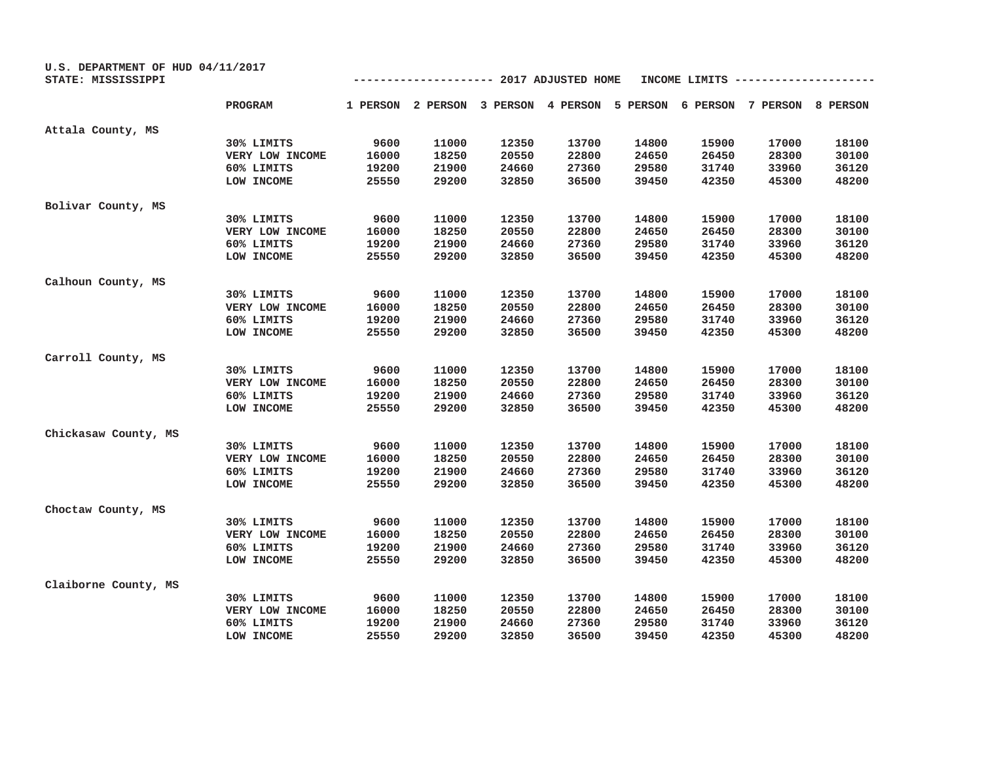| U.S. DEPARTMENT OF HUD 04/11/2017<br>STATE: MISSISSIPPI<br>----------- 2017 ADJUSTED HOME<br>INCOME LIMITS |                 |       |       |       |                                                                         |       |       |       |       |
|------------------------------------------------------------------------------------------------------------|-----------------|-------|-------|-------|-------------------------------------------------------------------------|-------|-------|-------|-------|
|                                                                                                            | PROGRAM         |       |       |       | 1 PERSON 2 PERSON 3 PERSON 4 PERSON 5 PERSON 6 PERSON 7 PERSON 8 PERSON |       |       |       |       |
| Attala County, MS                                                                                          |                 |       |       |       |                                                                         |       |       |       |       |
|                                                                                                            | 30% LIMITS      | 9600  | 11000 | 12350 | 13700                                                                   | 14800 | 15900 | 17000 | 18100 |
|                                                                                                            | VERY LOW INCOME | 16000 | 18250 | 20550 | 22800                                                                   | 24650 | 26450 | 28300 | 30100 |
|                                                                                                            | 60% LIMITS      | 19200 | 21900 | 24660 | 27360                                                                   | 29580 | 31740 | 33960 | 36120 |
|                                                                                                            | LOW INCOME      | 25550 | 29200 | 32850 | 36500                                                                   | 39450 | 42350 | 45300 | 48200 |
| Bolivar County, MS                                                                                         |                 |       |       |       |                                                                         |       |       |       |       |
|                                                                                                            | 30% LIMITS      | 9600  | 11000 | 12350 | 13700                                                                   | 14800 | 15900 | 17000 | 18100 |
|                                                                                                            | VERY LOW INCOME | 16000 | 18250 | 20550 | 22800                                                                   | 24650 | 26450 | 28300 | 30100 |
|                                                                                                            | 60% LIMITS      | 19200 | 21900 | 24660 | 27360                                                                   | 29580 | 31740 | 33960 | 36120 |
|                                                                                                            | LOW INCOME      | 25550 | 29200 | 32850 | 36500                                                                   | 39450 | 42350 | 45300 | 48200 |
| Calhoun County, MS                                                                                         |                 |       |       |       |                                                                         |       |       |       |       |
|                                                                                                            | 30% LIMITS      | 9600  | 11000 | 12350 | 13700                                                                   | 14800 | 15900 | 17000 | 18100 |
|                                                                                                            | VERY LOW INCOME | 16000 | 18250 | 20550 | 22800                                                                   | 24650 | 26450 | 28300 | 30100 |
|                                                                                                            | 60% LIMITS      | 19200 | 21900 | 24660 | 27360                                                                   | 29580 | 31740 | 33960 | 36120 |
|                                                                                                            | LOW INCOME      | 25550 | 29200 | 32850 | 36500                                                                   | 39450 | 42350 | 45300 | 48200 |
| Carroll County, MS                                                                                         |                 |       |       |       |                                                                         |       |       |       |       |
|                                                                                                            | 30% LIMITS      | 9600  | 11000 | 12350 | 13700                                                                   | 14800 | 15900 | 17000 | 18100 |
|                                                                                                            | VERY LOW INCOME | 16000 | 18250 | 20550 | 22800                                                                   | 24650 | 26450 | 28300 | 30100 |
|                                                                                                            | 60% LIMITS      | 19200 | 21900 | 24660 | 27360                                                                   | 29580 | 31740 | 33960 | 36120 |
|                                                                                                            | LOW INCOME      | 25550 | 29200 | 32850 | 36500                                                                   | 39450 | 42350 | 45300 | 48200 |
| Chickasaw County, MS                                                                                       |                 |       |       |       |                                                                         |       |       |       |       |
|                                                                                                            | 30% LIMITS      | 9600  | 11000 | 12350 | 13700                                                                   | 14800 | 15900 | 17000 | 18100 |
|                                                                                                            | VERY LOW INCOME | 16000 | 18250 | 20550 | 22800                                                                   | 24650 | 26450 | 28300 | 30100 |
|                                                                                                            | 60% LIMITS      | 19200 | 21900 | 24660 | 27360                                                                   | 29580 | 31740 | 33960 | 36120 |
|                                                                                                            | LOW INCOME      | 25550 | 29200 | 32850 | 36500                                                                   | 39450 | 42350 | 45300 | 48200 |
| Choctaw County, MS                                                                                         |                 |       |       |       |                                                                         |       |       |       |       |
|                                                                                                            | 30% LIMITS      | 9600  | 11000 | 12350 | 13700                                                                   | 14800 | 15900 | 17000 | 18100 |
|                                                                                                            | VERY LOW INCOME | 16000 | 18250 | 20550 | 22800                                                                   | 24650 | 26450 | 28300 | 30100 |
|                                                                                                            | 60% LIMITS      | 19200 | 21900 | 24660 | 27360                                                                   | 29580 | 31740 | 33960 | 36120 |
|                                                                                                            | LOW INCOME      | 25550 | 29200 | 32850 | 36500                                                                   | 39450 | 42350 | 45300 | 48200 |
| Claiborne County, MS                                                                                       |                 |       |       |       |                                                                         |       |       |       |       |
|                                                                                                            | 30% LIMITS      | 9600  | 11000 | 12350 | 13700                                                                   | 14800 | 15900 | 17000 | 18100 |
|                                                                                                            | VERY LOW INCOME | 16000 | 18250 | 20550 | 22800                                                                   | 24650 | 26450 | 28300 | 30100 |
|                                                                                                            | 60% LIMITS      | 19200 | 21900 | 24660 | 27360                                                                   | 29580 | 31740 | 33960 | 36120 |
|                                                                                                            | LOW INCOME      | 25550 | 29200 | 32850 | 36500                                                                   | 39450 | 42350 | 45300 | 48200 |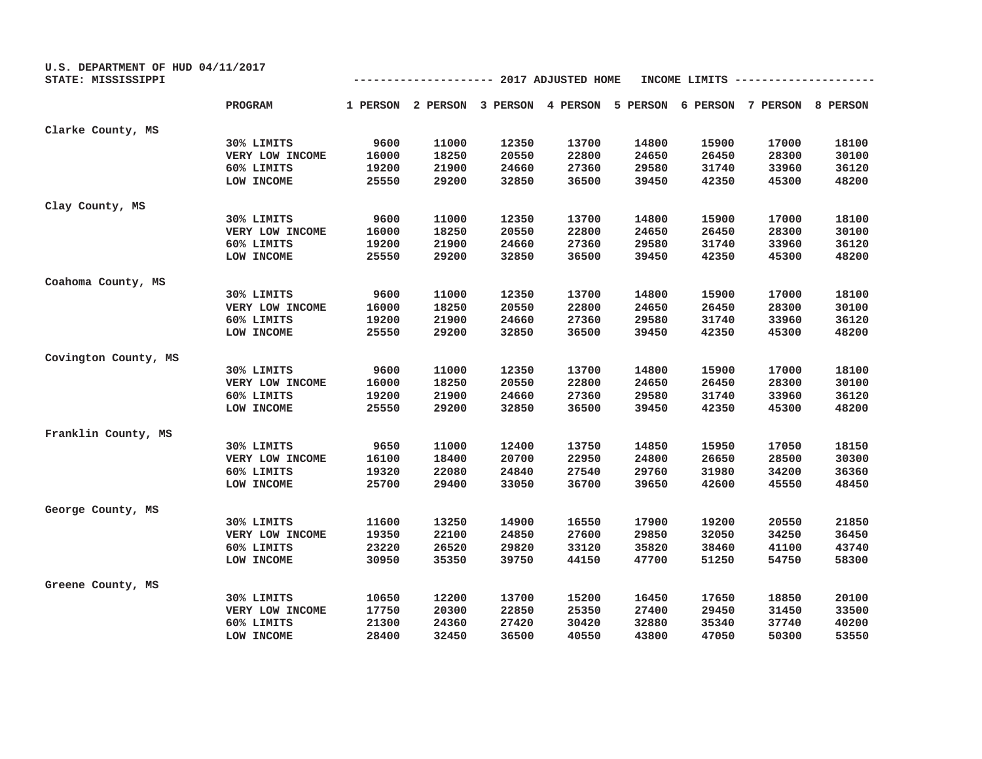| U.S. DEPARTMENT OF HUD 04/11/2017 |                 |                                                 |       |       |       |       |       |                                                                         |       |
|-----------------------------------|-----------------|-------------------------------------------------|-------|-------|-------|-------|-------|-------------------------------------------------------------------------|-------|
| STATE: MISSISSIPPI                |                 | ----------- 2017 ADJUSTED HOME<br>INCOME LIMITS |       |       |       |       |       |                                                                         |       |
|                                   | PROGRAM         |                                                 |       |       |       |       |       | 1 PERSON 2 PERSON 3 PERSON 4 PERSON 5 PERSON 6 PERSON 7 PERSON 8 PERSON |       |
| Clarke County, MS                 |                 |                                                 |       |       |       |       |       |                                                                         |       |
|                                   | 30% LIMITS      | 9600                                            | 11000 | 12350 | 13700 | 14800 | 15900 | 17000                                                                   | 18100 |
|                                   | VERY LOW INCOME | 16000                                           | 18250 | 20550 | 22800 | 24650 | 26450 | 28300                                                                   | 30100 |
|                                   | 60% LIMITS      | 19200                                           | 21900 | 24660 | 27360 | 29580 | 31740 | 33960                                                                   | 36120 |
|                                   | LOW INCOME      | 25550                                           | 29200 | 32850 | 36500 | 39450 | 42350 | 45300                                                                   | 48200 |
| Clay County, MS                   |                 |                                                 |       |       |       |       |       |                                                                         |       |
|                                   | 30% LIMITS      | 9600                                            | 11000 | 12350 | 13700 | 14800 | 15900 | 17000                                                                   | 18100 |
|                                   | VERY LOW INCOME | 16000                                           | 18250 | 20550 | 22800 | 24650 | 26450 | 28300                                                                   | 30100 |
|                                   | 60% LIMITS      | 19200                                           | 21900 | 24660 | 27360 | 29580 | 31740 | 33960                                                                   | 36120 |
|                                   | LOW INCOME      | 25550                                           | 29200 | 32850 | 36500 | 39450 | 42350 | 45300                                                                   | 48200 |
| Coahoma County, MS                |                 |                                                 |       |       |       |       |       |                                                                         |       |
|                                   | 30% LIMITS      | 9600                                            | 11000 | 12350 | 13700 | 14800 | 15900 | 17000                                                                   | 18100 |
|                                   | VERY LOW INCOME | 16000                                           | 18250 | 20550 | 22800 | 24650 | 26450 | 28300                                                                   | 30100 |
|                                   | 60% LIMITS      | 19200                                           | 21900 | 24660 | 27360 | 29580 | 31740 | 33960                                                                   | 36120 |
|                                   | LOW INCOME      | 25550                                           | 29200 | 32850 | 36500 | 39450 | 42350 | 45300                                                                   | 48200 |
| Covington County, MS              |                 |                                                 |       |       |       |       |       |                                                                         |       |
|                                   | 30% LIMITS      | 9600                                            | 11000 | 12350 | 13700 | 14800 | 15900 | 17000                                                                   | 18100 |
|                                   | VERY LOW INCOME | 16000                                           | 18250 | 20550 | 22800 | 24650 | 26450 | 28300                                                                   | 30100 |
|                                   | 60% LIMITS      | 19200                                           | 21900 | 24660 | 27360 | 29580 | 31740 | 33960                                                                   | 36120 |
|                                   | LOW INCOME      | 25550                                           | 29200 | 32850 | 36500 | 39450 | 42350 | 45300                                                                   | 48200 |
| Franklin County, MS               |                 |                                                 |       |       |       |       |       |                                                                         |       |
|                                   | 30% LIMITS      | 9650                                            | 11000 | 12400 | 13750 | 14850 | 15950 | 17050                                                                   | 18150 |
|                                   | VERY LOW INCOME | 16100                                           | 18400 | 20700 | 22950 | 24800 | 26650 | 28500                                                                   | 30300 |
|                                   | 60% LIMITS      | 19320                                           | 22080 | 24840 | 27540 | 29760 | 31980 | 34200                                                                   | 36360 |
|                                   | LOW INCOME      | 25700                                           | 29400 | 33050 | 36700 | 39650 | 42600 | 45550                                                                   | 48450 |
| George County, MS                 |                 |                                                 |       |       |       |       |       |                                                                         |       |
|                                   | 30% LIMITS      | 11600                                           | 13250 | 14900 | 16550 | 17900 | 19200 | 20550                                                                   | 21850 |
|                                   | VERY LOW INCOME | 19350                                           | 22100 | 24850 | 27600 | 29850 | 32050 | 34250                                                                   | 36450 |
|                                   | 60% LIMITS      | 23220                                           | 26520 | 29820 | 33120 | 35820 | 38460 | 41100                                                                   | 43740 |
|                                   | LOW INCOME      | 30950                                           | 35350 | 39750 | 44150 | 47700 | 51250 | 54750                                                                   | 58300 |
| Greene County, MS                 |                 |                                                 |       |       |       |       |       |                                                                         |       |
|                                   | 30% LIMITS      | 10650                                           | 12200 | 13700 | 15200 | 16450 | 17650 | 18850                                                                   | 20100 |
|                                   | VERY LOW INCOME | 17750                                           | 20300 | 22850 | 25350 | 27400 | 29450 | 31450                                                                   | 33500 |
|                                   | 60% LIMITS      | 21300                                           | 24360 | 27420 | 30420 | 32880 | 35340 | 37740                                                                   | 40200 |
|                                   | LOW INCOME      | 28400                                           | 32450 | 36500 | 40550 | 43800 | 47050 | 50300                                                                   | 53550 |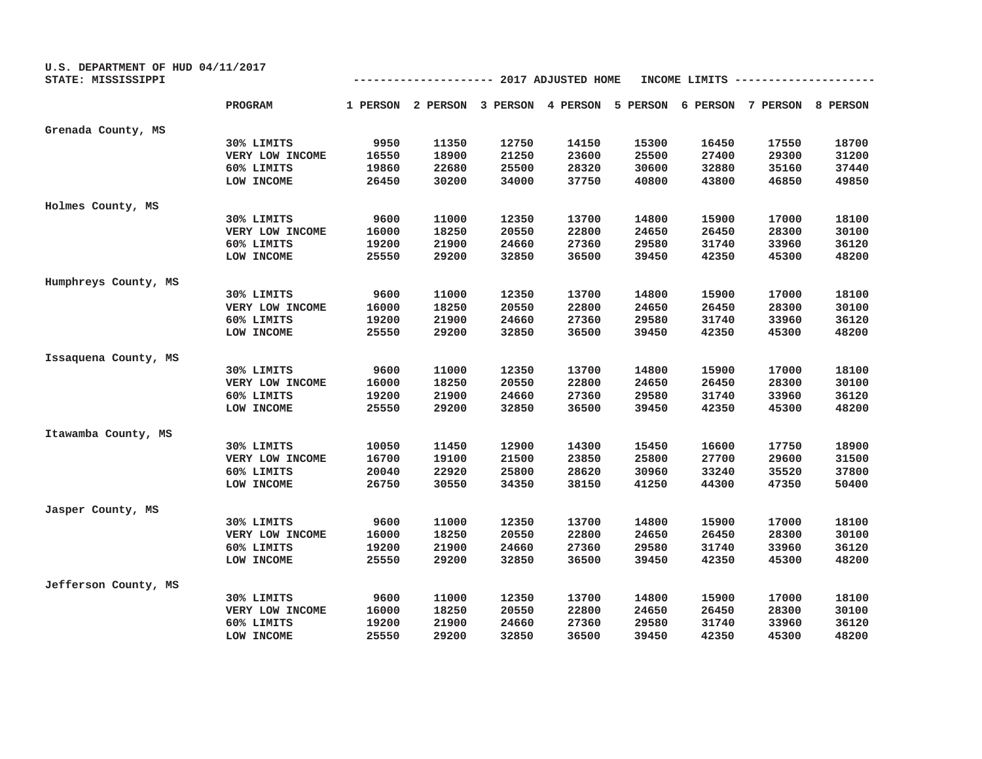| U.S. DEPARTMENT OF HUD 04/11/2017<br>STATE: MISSISSIPPI | ----------- 2017 ADJUSTED HOME<br>INCOME LIMITS |       |       |       |                                                                         |       |       |       |       |
|---------------------------------------------------------|-------------------------------------------------|-------|-------|-------|-------------------------------------------------------------------------|-------|-------|-------|-------|
|                                                         |                                                 |       |       |       |                                                                         |       |       |       |       |
|                                                         | PROGRAM                                         |       |       |       | 1 PERSON 2 PERSON 3 PERSON 4 PERSON 5 PERSON 6 PERSON 7 PERSON 8 PERSON |       |       |       |       |
| Grenada County, MS                                      |                                                 |       |       |       |                                                                         |       |       |       |       |
|                                                         | 30% LIMITS                                      | 9950  | 11350 | 12750 | 14150                                                                   | 15300 | 16450 | 17550 | 18700 |
|                                                         | VERY LOW INCOME                                 | 16550 | 18900 | 21250 | 23600                                                                   | 25500 | 27400 | 29300 | 31200 |
|                                                         | 60% LIMITS                                      | 19860 | 22680 | 25500 | 28320                                                                   | 30600 | 32880 | 35160 | 37440 |
|                                                         | LOW INCOME                                      | 26450 | 30200 | 34000 | 37750                                                                   | 40800 | 43800 | 46850 | 49850 |
| Holmes County, MS                                       |                                                 |       |       |       |                                                                         |       |       |       |       |
|                                                         | 30% LIMITS                                      | 9600  | 11000 | 12350 | 13700                                                                   | 14800 | 15900 | 17000 | 18100 |
|                                                         | VERY LOW INCOME                                 | 16000 | 18250 | 20550 | 22800                                                                   | 24650 | 26450 | 28300 | 30100 |
|                                                         | 60% LIMITS                                      | 19200 | 21900 | 24660 | 27360                                                                   | 29580 | 31740 | 33960 | 36120 |
|                                                         | LOW INCOME                                      | 25550 | 29200 | 32850 | 36500                                                                   | 39450 | 42350 | 45300 | 48200 |
| Humphreys County, MS                                    |                                                 |       |       |       |                                                                         |       |       |       |       |
|                                                         | 30% LIMITS                                      | 9600  | 11000 | 12350 | 13700                                                                   | 14800 | 15900 | 17000 | 18100 |
|                                                         | VERY LOW INCOME                                 | 16000 | 18250 | 20550 | 22800                                                                   | 24650 | 26450 | 28300 | 30100 |
|                                                         | 60% LIMITS                                      | 19200 | 21900 | 24660 | 27360                                                                   | 29580 | 31740 | 33960 | 36120 |
|                                                         | LOW INCOME                                      | 25550 | 29200 | 32850 | 36500                                                                   | 39450 | 42350 | 45300 | 48200 |
| Issaquena County, MS                                    |                                                 |       |       |       |                                                                         |       |       |       |       |
|                                                         | 30% LIMITS                                      | 9600  | 11000 | 12350 | 13700                                                                   | 14800 | 15900 | 17000 | 18100 |
|                                                         | VERY LOW INCOME                                 | 16000 | 18250 | 20550 | 22800                                                                   | 24650 | 26450 | 28300 | 30100 |
|                                                         | 60% LIMITS                                      | 19200 | 21900 | 24660 | 27360                                                                   | 29580 | 31740 | 33960 | 36120 |
|                                                         | LOW INCOME                                      | 25550 | 29200 | 32850 | 36500                                                                   | 39450 | 42350 | 45300 | 48200 |
| Itawamba County, MS                                     |                                                 |       |       |       |                                                                         |       |       |       |       |
|                                                         | 30% LIMITS                                      | 10050 | 11450 | 12900 | 14300                                                                   | 15450 | 16600 | 17750 | 18900 |
|                                                         | VERY LOW INCOME                                 | 16700 | 19100 | 21500 | 23850                                                                   | 25800 | 27700 | 29600 | 31500 |
|                                                         | 60% LIMITS                                      | 20040 | 22920 | 25800 | 28620                                                                   | 30960 | 33240 | 35520 | 37800 |
|                                                         | LOW INCOME                                      | 26750 | 30550 | 34350 | 38150                                                                   | 41250 | 44300 | 47350 | 50400 |
| Jasper County, MS                                       |                                                 |       |       |       |                                                                         |       |       |       |       |
|                                                         | 30% LIMITS                                      | 9600  | 11000 | 12350 | 13700                                                                   | 14800 | 15900 | 17000 | 18100 |
|                                                         | VERY LOW INCOME                                 | 16000 | 18250 | 20550 | 22800                                                                   | 24650 | 26450 | 28300 | 30100 |
|                                                         | 60% LIMITS                                      | 19200 | 21900 | 24660 | 27360                                                                   | 29580 | 31740 | 33960 | 36120 |
|                                                         | LOW INCOME                                      | 25550 | 29200 | 32850 | 36500                                                                   | 39450 | 42350 | 45300 | 48200 |
| Jefferson County, MS                                    |                                                 |       |       |       |                                                                         |       |       |       |       |
|                                                         | 30% LIMITS                                      | 9600  | 11000 | 12350 | 13700                                                                   | 14800 | 15900 | 17000 | 18100 |
|                                                         | VERY LOW INCOME                                 | 16000 | 18250 | 20550 | 22800                                                                   | 24650 | 26450 | 28300 | 30100 |
|                                                         | 60% LIMITS                                      | 19200 | 21900 | 24660 | 27360                                                                   | 29580 | 31740 | 33960 | 36120 |
|                                                         | LOW INCOME                                      | 25550 | 29200 | 32850 | 36500                                                                   | 39450 | 42350 | 45300 | 48200 |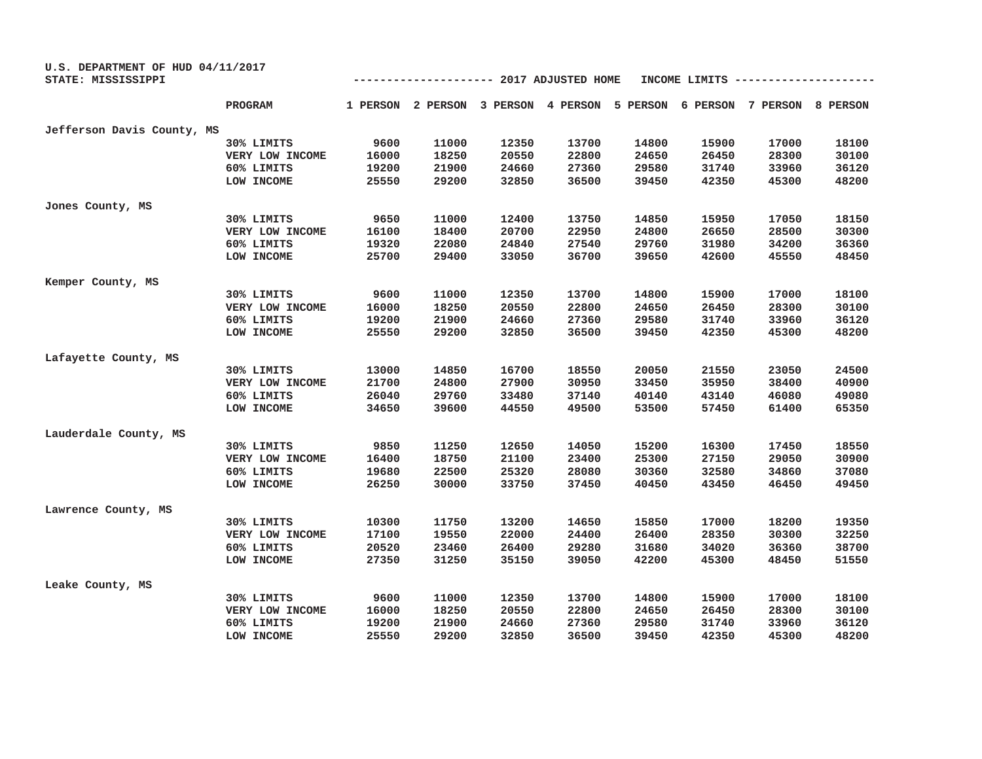| U.S. DEPARTMENT OF HUD 04/11/2017 |                 |                                                 |       |       |       |       |       |                                                                         |       |
|-----------------------------------|-----------------|-------------------------------------------------|-------|-------|-------|-------|-------|-------------------------------------------------------------------------|-------|
| STATE: MISSISSIPPI                |                 | ----------- 2017 ADJUSTED HOME<br>INCOME LIMITS |       |       |       |       |       |                                                                         |       |
|                                   | PROGRAM         |                                                 |       |       |       |       |       | 1 PERSON 2 PERSON 3 PERSON 4 PERSON 5 PERSON 6 PERSON 7 PERSON 8 PERSON |       |
| Jefferson Davis County, MS        |                 |                                                 |       |       |       |       |       |                                                                         |       |
|                                   | 30% LIMITS      | 9600                                            | 11000 | 12350 | 13700 | 14800 | 15900 | 17000                                                                   | 18100 |
|                                   | VERY LOW INCOME | 16000                                           | 18250 | 20550 | 22800 | 24650 | 26450 | 28300                                                                   | 30100 |
|                                   | 60% LIMITS      | 19200                                           | 21900 | 24660 | 27360 | 29580 | 31740 | 33960                                                                   | 36120 |
|                                   | LOW INCOME      | 25550                                           | 29200 | 32850 | 36500 | 39450 | 42350 | 45300                                                                   | 48200 |
| Jones County, MS                  |                 |                                                 |       |       |       |       |       |                                                                         |       |
|                                   | 30% LIMITS      | 9650                                            | 11000 | 12400 | 13750 | 14850 | 15950 | 17050                                                                   | 18150 |
|                                   | VERY LOW INCOME | 16100                                           | 18400 | 20700 | 22950 | 24800 | 26650 | 28500                                                                   | 30300 |
|                                   | 60% LIMITS      | 19320                                           | 22080 | 24840 | 27540 | 29760 | 31980 | 34200                                                                   | 36360 |
|                                   | LOW INCOME      | 25700                                           | 29400 | 33050 | 36700 | 39650 | 42600 | 45550                                                                   | 48450 |
| Kemper County, MS                 |                 |                                                 |       |       |       |       |       |                                                                         |       |
|                                   | 30% LIMITS      | 9600                                            | 11000 | 12350 | 13700 | 14800 | 15900 | 17000                                                                   | 18100 |
|                                   | VERY LOW INCOME | 16000                                           | 18250 | 20550 | 22800 | 24650 | 26450 | 28300                                                                   | 30100 |
|                                   | 60% LIMITS      | 19200                                           | 21900 | 24660 | 27360 | 29580 | 31740 | 33960                                                                   | 36120 |
|                                   | LOW INCOME      | 25550                                           | 29200 | 32850 | 36500 | 39450 | 42350 | 45300                                                                   | 48200 |
| Lafayette County, MS              |                 |                                                 |       |       |       |       |       |                                                                         |       |
|                                   | 30% LIMITS      | 13000                                           | 14850 | 16700 | 18550 | 20050 | 21550 | 23050                                                                   | 24500 |
|                                   | VERY LOW INCOME | 21700                                           | 24800 | 27900 | 30950 | 33450 | 35950 | 38400                                                                   | 40900 |
|                                   | 60% LIMITS      | 26040                                           | 29760 | 33480 | 37140 | 40140 | 43140 | 46080                                                                   | 49080 |
|                                   | LOW INCOME      | 34650                                           | 39600 | 44550 | 49500 | 53500 | 57450 | 61400                                                                   | 65350 |
| Lauderdale County, MS             |                 |                                                 |       |       |       |       |       |                                                                         |       |
|                                   | 30% LIMITS      | 9850                                            | 11250 | 12650 | 14050 | 15200 | 16300 | 17450                                                                   | 18550 |
|                                   | VERY LOW INCOME | 16400                                           | 18750 | 21100 | 23400 | 25300 | 27150 | 29050                                                                   | 30900 |
|                                   | 60% LIMITS      | 19680                                           | 22500 | 25320 | 28080 | 30360 | 32580 | 34860                                                                   | 37080 |
|                                   | LOW INCOME      | 26250                                           | 30000 | 33750 | 37450 | 40450 | 43450 | 46450                                                                   | 49450 |
| Lawrence County, MS               |                 |                                                 |       |       |       |       |       |                                                                         |       |
|                                   | 30% LIMITS      | 10300                                           | 11750 | 13200 | 14650 | 15850 | 17000 | 18200                                                                   | 19350 |
|                                   | VERY LOW INCOME | 17100                                           | 19550 | 22000 | 24400 | 26400 | 28350 | 30300                                                                   | 32250 |
|                                   | 60% LIMITS      | 20520                                           | 23460 | 26400 | 29280 | 31680 | 34020 | 36360                                                                   | 38700 |
|                                   | LOW INCOME      | 27350                                           | 31250 | 35150 | 39050 | 42200 | 45300 | 48450                                                                   | 51550 |
| Leake County, MS                  |                 |                                                 |       |       |       |       |       |                                                                         |       |
|                                   | 30% LIMITS      | 9600                                            | 11000 | 12350 | 13700 | 14800 | 15900 | 17000                                                                   | 18100 |
|                                   | VERY LOW INCOME | 16000                                           | 18250 | 20550 | 22800 | 24650 | 26450 | 28300                                                                   | 30100 |
|                                   | 60% LIMITS      | 19200                                           | 21900 | 24660 | 27360 | 29580 | 31740 | 33960                                                                   | 36120 |
|                                   | LOW INCOME      | 25550                                           | 29200 | 32850 | 36500 | 39450 | 42350 | 45300                                                                   | 48200 |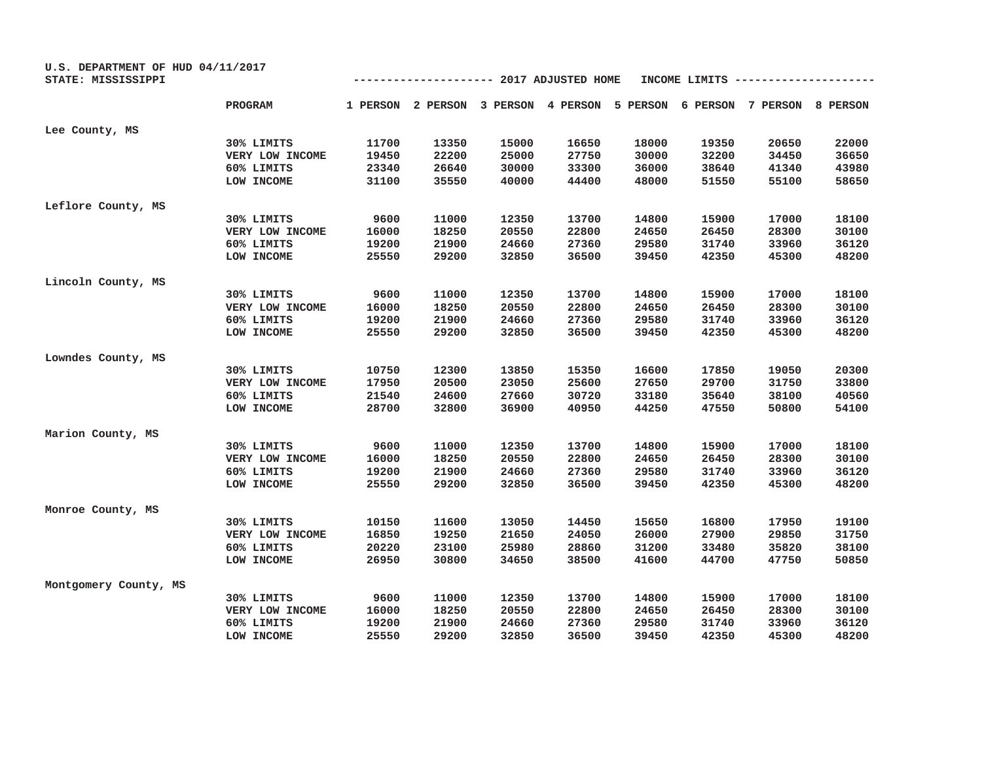| U.S. DEPARTMENT OF HUD 04/11/2017<br>STATE: MISSISSIPPI |                 | ----------- 2017 ADJUSTED HOME<br>INCOME LIMITS |       |       |                                                                         |       |       |       |       |  |
|---------------------------------------------------------|-----------------|-------------------------------------------------|-------|-------|-------------------------------------------------------------------------|-------|-------|-------|-------|--|
|                                                         | PROGRAM         |                                                 |       |       | 1 PERSON 2 PERSON 3 PERSON 4 PERSON 5 PERSON 6 PERSON 7 PERSON 8 PERSON |       |       |       |       |  |
| Lee County, MS                                          |                 |                                                 |       |       |                                                                         |       |       |       |       |  |
|                                                         | 30% LIMITS      | 11700                                           | 13350 | 15000 | 16650                                                                   | 18000 | 19350 | 20650 | 22000 |  |
|                                                         | VERY LOW INCOME | 19450                                           | 22200 | 25000 | 27750                                                                   | 30000 | 32200 | 34450 | 36650 |  |
|                                                         | 60% LIMITS      | 23340                                           | 26640 | 30000 | 33300                                                                   | 36000 | 38640 | 41340 | 43980 |  |
|                                                         | LOW INCOME      | 31100                                           | 35550 | 40000 | 44400                                                                   | 48000 | 51550 | 55100 | 58650 |  |
| Leflore County, MS                                      |                 |                                                 |       |       |                                                                         |       |       |       |       |  |
|                                                         | 30% LIMITS      | 9600                                            | 11000 | 12350 | 13700                                                                   | 14800 | 15900 | 17000 | 18100 |  |
|                                                         | VERY LOW INCOME | 16000                                           | 18250 | 20550 | 22800                                                                   | 24650 | 26450 | 28300 | 30100 |  |
|                                                         | 60% LIMITS      | 19200                                           | 21900 | 24660 | 27360                                                                   | 29580 | 31740 | 33960 | 36120 |  |
|                                                         | LOW INCOME      | 25550                                           | 29200 | 32850 | 36500                                                                   | 39450 | 42350 | 45300 | 48200 |  |
| Lincoln County, MS                                      |                 |                                                 |       |       |                                                                         |       |       |       |       |  |
|                                                         | 30% LIMITS      | 9600                                            | 11000 | 12350 | 13700                                                                   | 14800 | 15900 | 17000 | 18100 |  |
|                                                         | VERY LOW INCOME | 16000                                           | 18250 | 20550 | 22800                                                                   | 24650 | 26450 | 28300 | 30100 |  |
|                                                         | 60% LIMITS      | 19200                                           | 21900 | 24660 | 27360                                                                   | 29580 | 31740 | 33960 | 36120 |  |
|                                                         | LOW INCOME      | 25550                                           | 29200 | 32850 | 36500                                                                   | 39450 | 42350 | 45300 | 48200 |  |
| Lowndes County, MS                                      |                 |                                                 |       |       |                                                                         |       |       |       |       |  |
|                                                         | 30% LIMITS      | 10750                                           | 12300 | 13850 | 15350                                                                   | 16600 | 17850 | 19050 | 20300 |  |
|                                                         | VERY LOW INCOME | 17950                                           | 20500 | 23050 | 25600                                                                   | 27650 | 29700 | 31750 | 33800 |  |
|                                                         | 60% LIMITS      | 21540                                           | 24600 | 27660 | 30720                                                                   | 33180 | 35640 | 38100 | 40560 |  |
|                                                         | LOW INCOME      | 28700                                           | 32800 | 36900 | 40950                                                                   | 44250 | 47550 | 50800 | 54100 |  |
| Marion County, MS                                       |                 |                                                 |       |       |                                                                         |       |       |       |       |  |
|                                                         | 30% LIMITS      | 9600                                            | 11000 | 12350 | 13700                                                                   | 14800 | 15900 | 17000 | 18100 |  |
|                                                         | VERY LOW INCOME | 16000                                           | 18250 | 20550 | 22800                                                                   | 24650 | 26450 | 28300 | 30100 |  |
|                                                         | 60% LIMITS      | 19200                                           | 21900 | 24660 | 27360                                                                   | 29580 | 31740 | 33960 | 36120 |  |
|                                                         | LOW INCOME      | 25550                                           | 29200 | 32850 | 36500                                                                   | 39450 | 42350 | 45300 | 48200 |  |
| Monroe County, MS                                       |                 |                                                 |       |       |                                                                         |       |       |       |       |  |
|                                                         | 30% LIMITS      | 10150                                           | 11600 | 13050 | 14450                                                                   | 15650 | 16800 | 17950 | 19100 |  |
|                                                         | VERY LOW INCOME | 16850                                           | 19250 | 21650 | 24050                                                                   | 26000 | 27900 | 29850 | 31750 |  |
|                                                         | 60% LIMITS      | 20220                                           | 23100 | 25980 | 28860                                                                   | 31200 | 33480 | 35820 | 38100 |  |
|                                                         | LOW INCOME      | 26950                                           | 30800 | 34650 | 38500                                                                   | 41600 | 44700 | 47750 | 50850 |  |
| Montgomery County, MS                                   |                 |                                                 |       |       |                                                                         |       |       |       |       |  |
|                                                         | 30% LIMITS      | 9600                                            | 11000 | 12350 | 13700                                                                   | 14800 | 15900 | 17000 | 18100 |  |
|                                                         | VERY LOW INCOME | 16000                                           | 18250 | 20550 | 22800                                                                   | 24650 | 26450 | 28300 | 30100 |  |
|                                                         | 60% LIMITS      | 19200                                           | 21900 | 24660 | 27360                                                                   | 29580 | 31740 | 33960 | 36120 |  |
|                                                         | LOW INCOME      | 25550                                           | 29200 | 32850 | 36500                                                                   | 39450 | 42350 | 45300 | 48200 |  |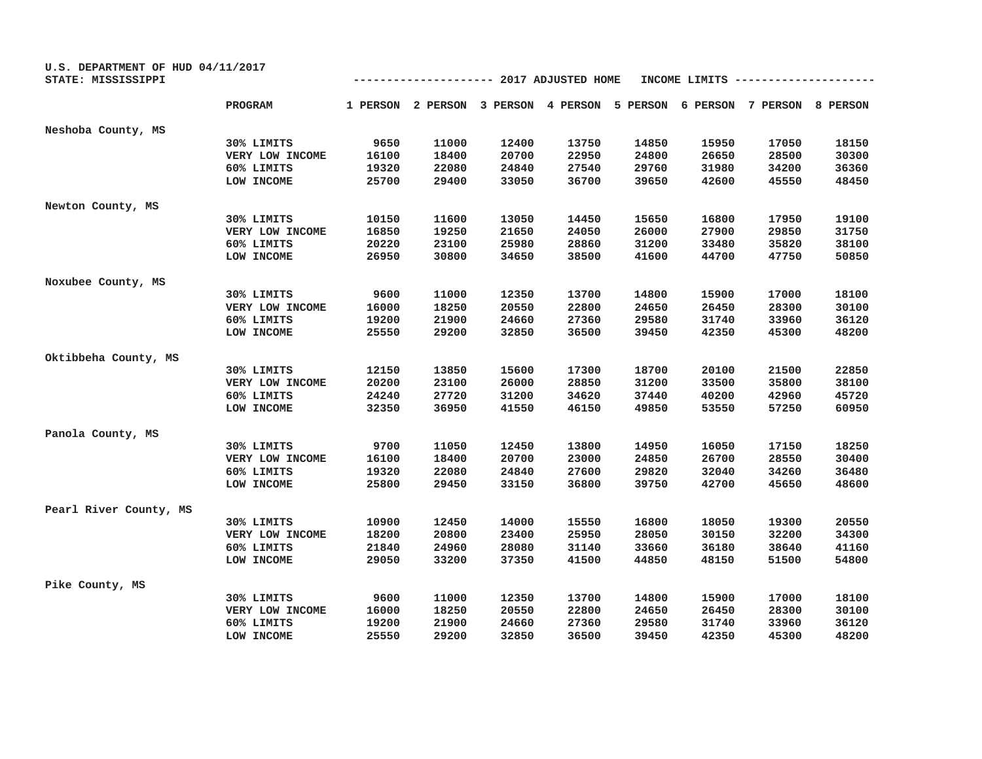| U.S. DEPARTMENT OF HUD 04/11/2017<br>STATE: MISSISSIPPI |                 |       |       | ------------ 2017 ADJUSTED HOME |       | INCOME LIMITS |       |                                                                         |       |
|---------------------------------------------------------|-----------------|-------|-------|---------------------------------|-------|---------------|-------|-------------------------------------------------------------------------|-------|
|                                                         |                 |       |       |                                 |       |               |       |                                                                         |       |
|                                                         | PROGRAM         |       |       |                                 |       |               |       | 1 PERSON 2 PERSON 3 PERSON 4 PERSON 5 PERSON 6 PERSON 7 PERSON 8 PERSON |       |
| Neshoba County, MS                                      |                 |       |       |                                 |       |               |       |                                                                         |       |
|                                                         | 30% LIMITS      | 9650  | 11000 | 12400                           | 13750 | 14850         | 15950 | 17050                                                                   | 18150 |
|                                                         | VERY LOW INCOME | 16100 | 18400 | 20700                           | 22950 | 24800         | 26650 | 28500                                                                   | 30300 |
|                                                         | 60% LIMITS      | 19320 | 22080 | 24840                           | 27540 | 29760         | 31980 | 34200                                                                   | 36360 |
|                                                         | LOW INCOME      | 25700 | 29400 | 33050                           | 36700 | 39650         | 42600 | 45550                                                                   | 48450 |
| Newton County, MS                                       |                 |       |       |                                 |       |               |       |                                                                         |       |
|                                                         | 30% LIMITS      | 10150 | 11600 | 13050                           | 14450 | 15650         | 16800 | 17950                                                                   | 19100 |
|                                                         | VERY LOW INCOME | 16850 | 19250 | 21650                           | 24050 | 26000         | 27900 | 29850                                                                   | 31750 |
|                                                         | 60% LIMITS      | 20220 | 23100 | 25980                           | 28860 | 31200         | 33480 | 35820                                                                   | 38100 |
|                                                         | LOW INCOME      | 26950 | 30800 | 34650                           | 38500 | 41600         | 44700 | 47750                                                                   | 50850 |
| Noxubee County, MS                                      |                 |       |       |                                 |       |               |       |                                                                         |       |
|                                                         | 30% LIMITS      | 9600  | 11000 | 12350                           | 13700 | 14800         | 15900 | 17000                                                                   | 18100 |
|                                                         | VERY LOW INCOME | 16000 | 18250 | 20550                           | 22800 | 24650         | 26450 | 28300                                                                   | 30100 |
|                                                         | 60% LIMITS      | 19200 | 21900 | 24660                           | 27360 | 29580         | 31740 | 33960                                                                   | 36120 |
|                                                         | LOW INCOME      | 25550 | 29200 | 32850                           | 36500 | 39450         | 42350 | 45300                                                                   | 48200 |
| Oktibbeha County, MS                                    |                 |       |       |                                 |       |               |       |                                                                         |       |
|                                                         | 30% LIMITS      | 12150 | 13850 | 15600                           | 17300 | 18700         | 20100 | 21500                                                                   | 22850 |
|                                                         | VERY LOW INCOME | 20200 | 23100 | 26000                           | 28850 | 31200         | 33500 | 35800                                                                   | 38100 |
|                                                         | 60% LIMITS      | 24240 | 27720 | 31200                           | 34620 | 37440         | 40200 | 42960                                                                   | 45720 |
|                                                         | LOW INCOME      | 32350 | 36950 | 41550                           | 46150 | 49850         | 53550 | 57250                                                                   | 60950 |
| Panola County, MS                                       |                 |       |       |                                 |       |               |       |                                                                         |       |
|                                                         | 30% LIMITS      | 9700  | 11050 | 12450                           | 13800 | 14950         | 16050 | 17150                                                                   | 18250 |
|                                                         | VERY LOW INCOME | 16100 | 18400 | 20700                           | 23000 | 24850         | 26700 | 28550                                                                   | 30400 |
|                                                         | 60% LIMITS      | 19320 | 22080 | 24840                           | 27600 | 29820         | 32040 | 34260                                                                   | 36480 |
|                                                         | LOW INCOME      | 25800 | 29450 | 33150                           | 36800 | 39750         | 42700 | 45650                                                                   | 48600 |
| Pearl River County, MS                                  |                 |       |       |                                 |       |               |       |                                                                         |       |
|                                                         | 30% LIMITS      | 10900 | 12450 | 14000                           | 15550 | 16800         | 18050 | 19300                                                                   | 20550 |
|                                                         | VERY LOW INCOME | 18200 | 20800 | 23400                           | 25950 | 28050         | 30150 | 32200                                                                   | 34300 |
|                                                         | 60% LIMITS      | 21840 | 24960 | 28080                           | 31140 | 33660         | 36180 | 38640                                                                   | 41160 |
|                                                         | LOW INCOME      | 29050 | 33200 | 37350                           | 41500 | 44850         | 48150 | 51500                                                                   | 54800 |
| Pike County, MS                                         |                 |       |       |                                 |       |               |       |                                                                         |       |
|                                                         | 30% LIMITS      | 9600  | 11000 | 12350                           | 13700 | 14800         | 15900 | 17000                                                                   | 18100 |
|                                                         | VERY LOW INCOME | 16000 | 18250 | 20550                           | 22800 | 24650         | 26450 | 28300                                                                   | 30100 |
|                                                         | 60% LIMITS      | 19200 | 21900 | 24660                           | 27360 | 29580         | 31740 | 33960                                                                   | 36120 |
|                                                         | LOW INCOME      | 25550 | 29200 | 32850                           | 36500 | 39450         | 42350 | 45300                                                                   | 48200 |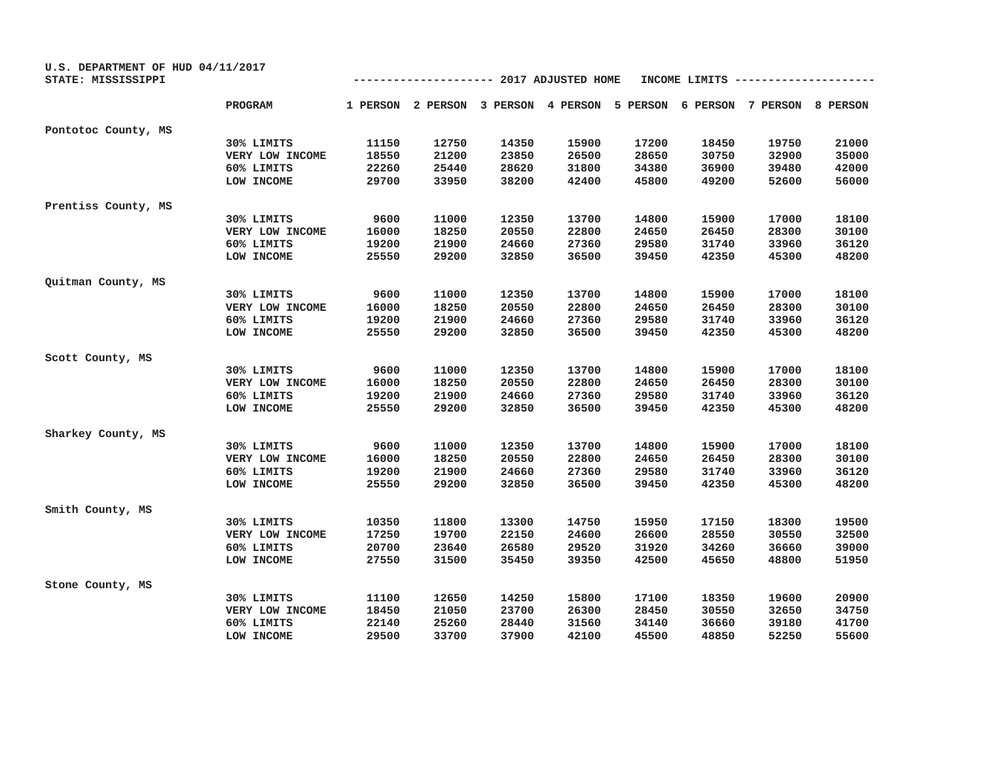| U.S. DEPARTMENT OF HUD 04/11/2017<br>STATE: MISSISSIPPI | ----------- 2017 ADJUSTED HOME<br>INCOME LIMITS |       |       |       |                                                                         |       |       |       |       |
|---------------------------------------------------------|-------------------------------------------------|-------|-------|-------|-------------------------------------------------------------------------|-------|-------|-------|-------|
|                                                         | PROGRAM                                         |       |       |       | 1 PERSON 2 PERSON 3 PERSON 4 PERSON 5 PERSON 6 PERSON 7 PERSON 8 PERSON |       |       |       |       |
| Pontotoc County, MS                                     |                                                 |       |       |       |                                                                         |       |       |       |       |
|                                                         | 30% LIMITS                                      | 11150 | 12750 | 14350 | 15900                                                                   | 17200 | 18450 | 19750 | 21000 |
|                                                         | VERY LOW INCOME                                 | 18550 | 21200 | 23850 | 26500                                                                   | 28650 | 30750 | 32900 | 35000 |
|                                                         | 60% LIMITS                                      | 22260 | 25440 | 28620 | 31800                                                                   | 34380 | 36900 | 39480 | 42000 |
|                                                         | LOW INCOME                                      | 29700 | 33950 | 38200 | 42400                                                                   | 45800 | 49200 | 52600 | 56000 |
| Prentiss County, MS                                     |                                                 |       |       |       |                                                                         |       |       |       |       |
|                                                         | 30% LIMITS                                      | 9600  | 11000 | 12350 | 13700                                                                   | 14800 | 15900 | 17000 | 18100 |
|                                                         | VERY LOW INCOME                                 | 16000 | 18250 | 20550 | 22800                                                                   | 24650 | 26450 | 28300 | 30100 |
|                                                         | 60% LIMITS                                      | 19200 | 21900 | 24660 | 27360                                                                   | 29580 | 31740 | 33960 | 36120 |
|                                                         | LOW INCOME                                      | 25550 | 29200 | 32850 | 36500                                                                   | 39450 | 42350 | 45300 | 48200 |
| Quitman County, MS                                      |                                                 |       |       |       |                                                                         |       |       |       |       |
|                                                         | 30% LIMITS                                      | 9600  | 11000 | 12350 | 13700                                                                   | 14800 | 15900 | 17000 | 18100 |
|                                                         | VERY LOW INCOME                                 | 16000 | 18250 | 20550 | 22800                                                                   | 24650 | 26450 | 28300 | 30100 |
|                                                         | 60% LIMITS                                      | 19200 | 21900 | 24660 | 27360                                                                   | 29580 | 31740 | 33960 | 36120 |
|                                                         | LOW INCOME                                      | 25550 | 29200 | 32850 | 36500                                                                   | 39450 | 42350 | 45300 | 48200 |
| Scott County, MS                                        |                                                 |       |       |       |                                                                         |       |       |       |       |
|                                                         | 30% LIMITS                                      | 9600  | 11000 | 12350 | 13700                                                                   | 14800 | 15900 | 17000 | 18100 |
|                                                         | VERY LOW INCOME                                 | 16000 | 18250 | 20550 | 22800                                                                   | 24650 | 26450 | 28300 | 30100 |
|                                                         | 60% LIMITS                                      | 19200 | 21900 | 24660 | 27360                                                                   | 29580 | 31740 | 33960 | 36120 |
|                                                         | LOW INCOME                                      | 25550 | 29200 | 32850 | 36500                                                                   | 39450 | 42350 | 45300 | 48200 |
| Sharkey County, MS                                      |                                                 |       |       |       |                                                                         |       |       |       |       |
|                                                         | 30% LIMITS                                      | 9600  | 11000 | 12350 | 13700                                                                   | 14800 | 15900 | 17000 | 18100 |
|                                                         | VERY LOW INCOME                                 | 16000 | 18250 | 20550 | 22800                                                                   | 24650 | 26450 | 28300 | 30100 |
|                                                         | 60% LIMITS                                      | 19200 | 21900 | 24660 | 27360                                                                   | 29580 | 31740 | 33960 | 36120 |
|                                                         | LOW INCOME                                      | 25550 | 29200 | 32850 | 36500                                                                   | 39450 | 42350 | 45300 | 48200 |
| Smith County, MS                                        |                                                 |       |       |       |                                                                         |       |       |       |       |
|                                                         | 30% LIMITS                                      | 10350 | 11800 | 13300 | 14750                                                                   | 15950 | 17150 | 18300 | 19500 |
|                                                         | VERY LOW INCOME                                 | 17250 | 19700 | 22150 | 24600                                                                   | 26600 | 28550 | 30550 | 32500 |
|                                                         | 60% LIMITS                                      | 20700 | 23640 | 26580 | 29520                                                                   | 31920 | 34260 | 36660 | 39000 |
|                                                         | LOW INCOME                                      | 27550 | 31500 | 35450 | 39350                                                                   | 42500 | 45650 | 48800 | 51950 |
| Stone County, MS                                        |                                                 |       |       |       |                                                                         |       |       |       |       |
|                                                         | 30% LIMITS                                      | 11100 | 12650 | 14250 | 15800                                                                   | 17100 | 18350 | 19600 | 20900 |
|                                                         | VERY LOW INCOME                                 | 18450 | 21050 | 23700 | 26300                                                                   | 28450 | 30550 | 32650 | 34750 |
|                                                         | 60% LIMITS                                      | 22140 | 25260 | 28440 | 31560                                                                   | 34140 | 36660 | 39180 | 41700 |
|                                                         | LOW INCOME                                      | 29500 | 33700 | 37900 | 42100                                                                   | 45500 | 48850 | 52250 | 55600 |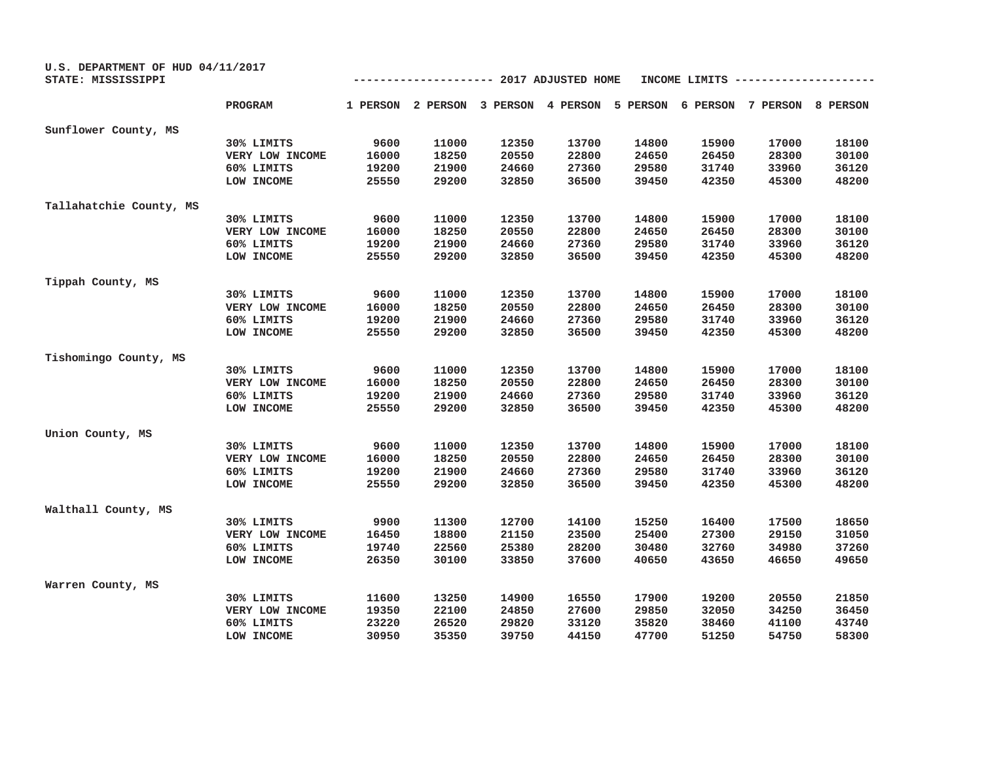| U.S. DEPARTMENT OF HUD 04/11/2017 |                 |                                                 |       |       |       |       |       |                                                                         |       |
|-----------------------------------|-----------------|-------------------------------------------------|-------|-------|-------|-------|-------|-------------------------------------------------------------------------|-------|
| STATE: MISSISSIPPI                |                 | ----------- 2017 ADJUSTED HOME<br>INCOME LIMITS |       |       |       |       |       |                                                                         |       |
|                                   | <b>PROGRAM</b>  |                                                 |       |       |       |       |       | 1 PERSON 2 PERSON 3 PERSON 4 PERSON 5 PERSON 6 PERSON 7 PERSON 8 PERSON |       |
| Sunflower County, MS              |                 |                                                 |       |       |       |       |       |                                                                         |       |
|                                   | 30% LIMITS      | 9600                                            | 11000 | 12350 | 13700 | 14800 | 15900 | 17000                                                                   | 18100 |
|                                   | VERY LOW INCOME | 16000                                           | 18250 | 20550 | 22800 | 24650 | 26450 | 28300                                                                   | 30100 |
|                                   | 60% LIMITS      | 19200                                           | 21900 | 24660 | 27360 | 29580 | 31740 | 33960                                                                   | 36120 |
|                                   | LOW INCOME      | 25550                                           | 29200 | 32850 | 36500 | 39450 | 42350 | 45300                                                                   | 48200 |
| Tallahatchie County, MS           |                 |                                                 |       |       |       |       |       |                                                                         |       |
|                                   | 30% LIMITS      | 9600                                            | 11000 | 12350 | 13700 | 14800 | 15900 | 17000                                                                   | 18100 |
|                                   | VERY LOW INCOME | 16000                                           | 18250 | 20550 | 22800 | 24650 | 26450 | 28300                                                                   | 30100 |
|                                   | 60% LIMITS      | 19200                                           | 21900 | 24660 | 27360 | 29580 | 31740 | 33960                                                                   | 36120 |
|                                   | LOW INCOME      | 25550                                           | 29200 | 32850 | 36500 | 39450 | 42350 | 45300                                                                   | 48200 |
| Tippah County, MS                 |                 |                                                 |       |       |       |       |       |                                                                         |       |
|                                   | 30% LIMITS      | 9600                                            | 11000 | 12350 | 13700 | 14800 | 15900 | 17000                                                                   | 18100 |
|                                   | VERY LOW INCOME | 16000                                           | 18250 | 20550 | 22800 | 24650 | 26450 | 28300                                                                   | 30100 |
|                                   | 60% LIMITS      | 19200                                           | 21900 | 24660 | 27360 | 29580 | 31740 | 33960                                                                   | 36120 |
|                                   | LOW INCOME      | 25550                                           | 29200 | 32850 | 36500 | 39450 | 42350 | 45300                                                                   | 48200 |
| Tishomingo County, MS             |                 |                                                 |       |       |       |       |       |                                                                         |       |
|                                   | 30% LIMITS      | 9600                                            | 11000 | 12350 | 13700 | 14800 | 15900 | 17000                                                                   | 18100 |
|                                   | VERY LOW INCOME | 16000                                           | 18250 | 20550 | 22800 | 24650 | 26450 | 28300                                                                   | 30100 |
|                                   | 60% LIMITS      | 19200                                           | 21900 | 24660 | 27360 | 29580 | 31740 | 33960                                                                   | 36120 |
|                                   | LOW INCOME      | 25550                                           | 29200 | 32850 | 36500 | 39450 | 42350 | 45300                                                                   | 48200 |
| Union County, MS                  |                 |                                                 |       |       |       |       |       |                                                                         |       |
|                                   | 30% LIMITS      | 9600                                            | 11000 | 12350 | 13700 | 14800 | 15900 | 17000                                                                   | 18100 |
|                                   | VERY LOW INCOME | 16000                                           | 18250 | 20550 | 22800 | 24650 | 26450 | 28300                                                                   | 30100 |
|                                   | 60% LIMITS      | 19200                                           | 21900 | 24660 | 27360 | 29580 | 31740 | 33960                                                                   | 36120 |
|                                   | LOW INCOME      | 25550                                           | 29200 | 32850 | 36500 | 39450 | 42350 | 45300                                                                   | 48200 |
| Walthall County, MS               |                 |                                                 |       |       |       |       |       |                                                                         |       |
|                                   | 30% LIMITS      | 9900                                            | 11300 | 12700 | 14100 | 15250 | 16400 | 17500                                                                   | 18650 |
|                                   | VERY LOW INCOME | 16450                                           | 18800 | 21150 | 23500 | 25400 | 27300 | 29150                                                                   | 31050 |
|                                   | 60% LIMITS      | 19740                                           | 22560 | 25380 | 28200 | 30480 | 32760 | 34980                                                                   | 37260 |
|                                   | LOW INCOME      | 26350                                           | 30100 | 33850 | 37600 | 40650 | 43650 | 46650                                                                   | 49650 |
| Warren County, MS                 |                 |                                                 |       |       |       |       |       |                                                                         |       |
|                                   | 30% LIMITS      | 11600                                           | 13250 | 14900 | 16550 | 17900 | 19200 | 20550                                                                   | 21850 |
|                                   | VERY LOW INCOME | 19350                                           | 22100 | 24850 | 27600 | 29850 | 32050 | 34250                                                                   | 36450 |
|                                   | 60% LIMITS      | 23220                                           | 26520 | 29820 | 33120 | 35820 | 38460 | 41100                                                                   | 43740 |
|                                   | LOW INCOME      | 30950                                           | 35350 | 39750 | 44150 | 47700 | 51250 | 54750                                                                   | 58300 |